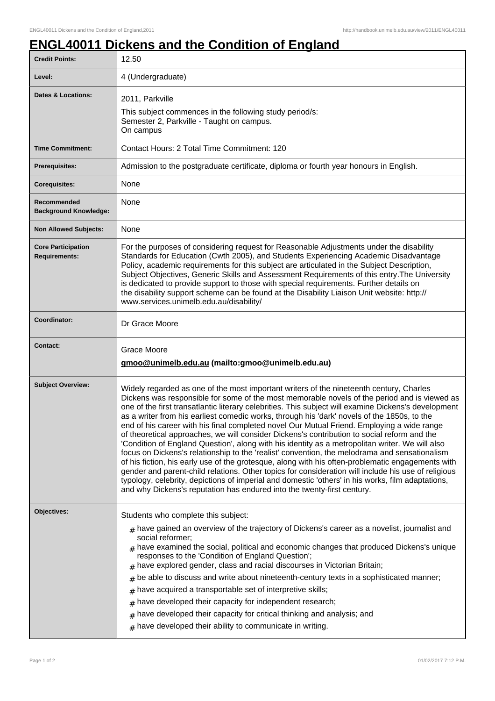## **ENGL40011 Dickens and the Condition of England**

| <b>Credit Points:</b>                             | 12.50                                                                                                                                                                                                                                                                                                                                                                                                                                                                                                                                                                                                                                                                                                                                                                                                                                                                                                                                                                                                                                                                                                                                                                                       |
|---------------------------------------------------|---------------------------------------------------------------------------------------------------------------------------------------------------------------------------------------------------------------------------------------------------------------------------------------------------------------------------------------------------------------------------------------------------------------------------------------------------------------------------------------------------------------------------------------------------------------------------------------------------------------------------------------------------------------------------------------------------------------------------------------------------------------------------------------------------------------------------------------------------------------------------------------------------------------------------------------------------------------------------------------------------------------------------------------------------------------------------------------------------------------------------------------------------------------------------------------------|
| Level:                                            | 4 (Undergraduate)                                                                                                                                                                                                                                                                                                                                                                                                                                                                                                                                                                                                                                                                                                                                                                                                                                                                                                                                                                                                                                                                                                                                                                           |
| <b>Dates &amp; Locations:</b>                     | 2011, Parkville<br>This subject commences in the following study period/s:<br>Semester 2, Parkville - Taught on campus.<br>On campus                                                                                                                                                                                                                                                                                                                                                                                                                                                                                                                                                                                                                                                                                                                                                                                                                                                                                                                                                                                                                                                        |
| <b>Time Commitment:</b>                           | Contact Hours: 2 Total Time Commitment: 120                                                                                                                                                                                                                                                                                                                                                                                                                                                                                                                                                                                                                                                                                                                                                                                                                                                                                                                                                                                                                                                                                                                                                 |
| Prerequisites:                                    | Admission to the postgraduate certificate, diploma or fourth year honours in English.                                                                                                                                                                                                                                                                                                                                                                                                                                                                                                                                                                                                                                                                                                                                                                                                                                                                                                                                                                                                                                                                                                       |
| <b>Corequisites:</b>                              | None                                                                                                                                                                                                                                                                                                                                                                                                                                                                                                                                                                                                                                                                                                                                                                                                                                                                                                                                                                                                                                                                                                                                                                                        |
| Recommended<br><b>Background Knowledge:</b>       | None                                                                                                                                                                                                                                                                                                                                                                                                                                                                                                                                                                                                                                                                                                                                                                                                                                                                                                                                                                                                                                                                                                                                                                                        |
| <b>Non Allowed Subjects:</b>                      | None                                                                                                                                                                                                                                                                                                                                                                                                                                                                                                                                                                                                                                                                                                                                                                                                                                                                                                                                                                                                                                                                                                                                                                                        |
| <b>Core Participation</b><br><b>Requirements:</b> | For the purposes of considering request for Reasonable Adjustments under the disability<br>Standards for Education (Cwth 2005), and Students Experiencing Academic Disadvantage<br>Policy, academic requirements for this subject are articulated in the Subject Description,<br>Subject Objectives, Generic Skills and Assessment Requirements of this entry. The University<br>is dedicated to provide support to those with special requirements. Further details on<br>the disability support scheme can be found at the Disability Liaison Unit website: http://<br>www.services.unimelb.edu.au/disability/                                                                                                                                                                                                                                                                                                                                                                                                                                                                                                                                                                            |
| Coordinator:                                      | Dr Grace Moore                                                                                                                                                                                                                                                                                                                                                                                                                                                                                                                                                                                                                                                                                                                                                                                                                                                                                                                                                                                                                                                                                                                                                                              |
| <b>Contact:</b>                                   | Grace Moore<br>gmoo@unimelb.edu.au (mailto:gmoo@unimelb.edu.au)                                                                                                                                                                                                                                                                                                                                                                                                                                                                                                                                                                                                                                                                                                                                                                                                                                                                                                                                                                                                                                                                                                                             |
| <b>Subject Overview:</b>                          | Widely regarded as one of the most important writers of the nineteenth century, Charles<br>Dickens was responsible for some of the most memorable novels of the period and is viewed as<br>one of the first transatlantic literary celebrities. This subject will examine Dickens's development<br>as a writer from his earliest comedic works, through his 'dark' novels of the 1850s, to the<br>end of his career with his final completed novel Our Mutual Friend. Employing a wide range<br>of theoretical approaches, we will consider Dickens's contribution to social reform and the<br>'Condition of England Question', along with his identity as a metropolitan writer. We will also<br>focus on Dickens's relationship to the 'realist' convention, the melodrama and sensationalism<br>of his fiction, his early use of the grotesque, along with his often-problematic engagements with<br>gender and parent-child relations. Other topics for consideration will include his use of religious<br>typology, celebrity, depictions of imperial and domestic 'others' in his works, film adaptations,<br>and why Dickens's reputation has endured into the twenty-first century. |
| Objectives:                                       | Students who complete this subject:<br>$_{\text{\#}}$ have gained an overview of the trajectory of Dickens's career as a novelist, journalist and<br>social reformer;<br>$#$ have examined the social, political and economic changes that produced Dickens's unique<br>responses to the 'Condition of England Question';<br>$#$ have explored gender, class and racial discourses in Victorian Britain;<br>be able to discuss and write about nineteenth-century texts in a sophisticated manner;<br>#<br>have acquired a transportable set of interpretive skills;<br>#<br>have developed their capacity for independent research;<br>#<br>have developed their capacity for critical thinking and analysis; and<br>#<br>$#$ have developed their ability to communicate in writing.                                                                                                                                                                                                                                                                                                                                                                                                      |